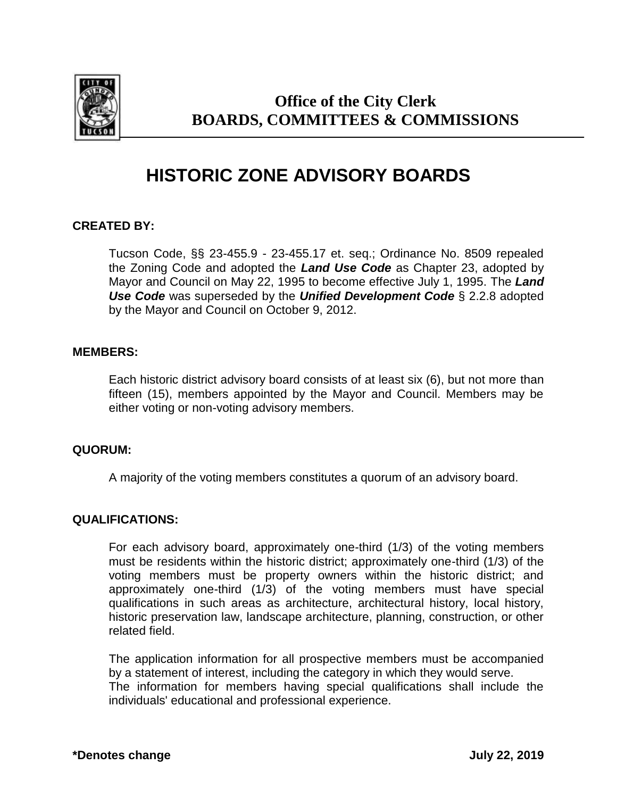

# **Office of the City Clerk BOARDS, COMMITTEES & COMMISSIONS**

# **HISTORIC ZONE ADVISORY BOARDS**

# **CREATED BY:**

Tucson Code, §§ 23-455.9 - 23-455.17 et. seq.; Ordinance No. 8509 repealed the Zoning Code and adopted the *Land Use Code* as Chapter 23, adopted by Mayor and Council on May 22, 1995 to become effective July 1, 1995. The *Land Use Code* was superseded by the *Unified Development Code* § 2.2.8 adopted by the Mayor and Council on October 9, 2012.

#### **MEMBERS:**

Each historic district advisory board consists of at least six (6), but not more than fifteen (15), members appointed by the Mayor and Council. Members may be either voting or non-voting advisory members.

#### **QUORUM:**

A majority of the voting members constitutes a quorum of an advisory board.

#### **QUALIFICATIONS:**

For each advisory board, approximately one-third (1/3) of the voting members must be residents within the historic district; approximately one-third (1/3) of the voting members must be property owners within the historic district; and approximately one-third (1/3) of the voting members must have special qualifications in such areas as architecture, architectural history, local history, historic preservation law, landscape architecture, planning, construction, or other related field.

The application information for all prospective members must be accompanied by a statement of interest, including the category in which they would serve. The information for members having special qualifications shall include the individuals' educational and professional experience.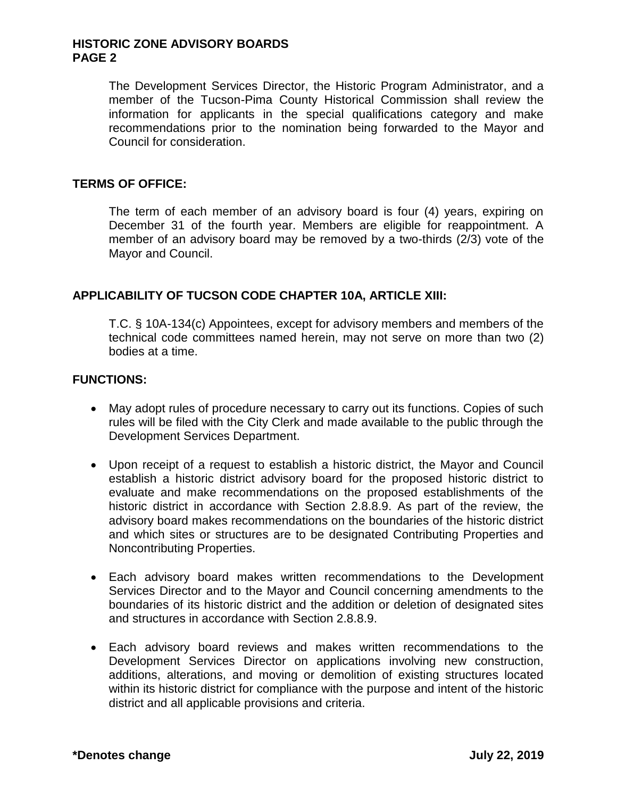#### **HISTORIC ZONE ADVISORY BOARDS PAGE 2**

The Development Services Director, the Historic Program Administrator, and a member of the Tucson-Pima County Historical Commission shall review the information for applicants in the special qualifications category and make recommendations prior to the nomination being forwarded to the Mayor and Council for consideration.

#### **TERMS OF OFFICE:**

The term of each member of an advisory board is four (4) years, expiring on December 31 of the fourth year. Members are eligible for reappointment. A member of an advisory board may be removed by a two-thirds (2/3) vote of the Mayor and Council.

# **APPLICABILITY OF TUCSON CODE CHAPTER 10A, ARTICLE XIII:**

T.C. § 10A-134(c) Appointees, except for advisory members and members of the technical code committees named herein, may not serve on more than two (2) bodies at a time.

#### **FUNCTIONS:**

- May adopt rules of procedure necessary to carry out its functions. Copies of such rules will be filed with the City Clerk and made available to the public through the Development Services Department.
- Upon receipt of a request to establish a historic district, the Mayor and Council establish a historic district advisory board for the proposed historic district to evaluate and make recommendations on the proposed establishments of the historic district in accordance with Section 2.8.8.9. As part of the review, the advisory board makes recommendations on the boundaries of the historic district and which sites or structures are to be designated Contributing Properties and Noncontributing Properties.
- Each advisory board makes written recommendations to the Development Services Director and to the Mayor and Council concerning amendments to the boundaries of its historic district and the addition or deletion of designated sites and structures in accordance with Section 2.8.8.9.
- Each advisory board reviews and makes written recommendations to the Development Services Director on applications involving new construction, additions, alterations, and moving or demolition of existing structures located within its historic district for compliance with the purpose and intent of the historic district and all applicable provisions and criteria.